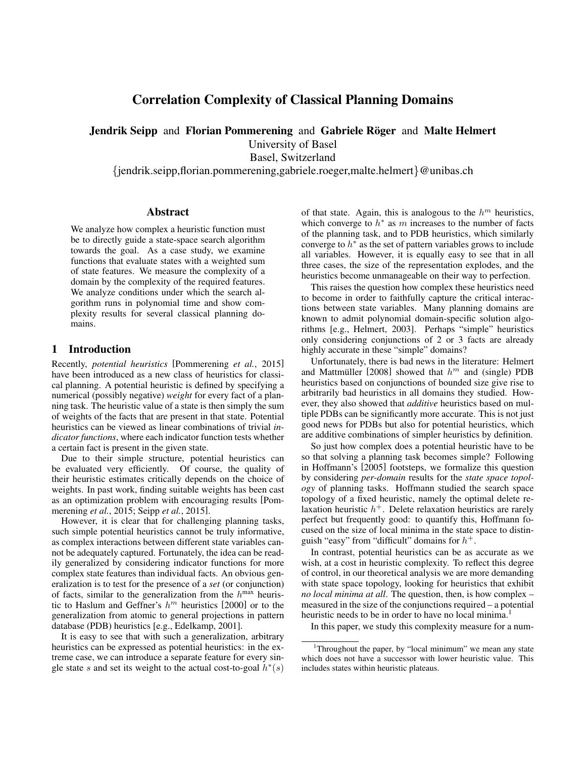# Correlation Complexity of Classical Planning Domains

Jendrik Seipp and Florian Pommerening and Gabriele Röger and Malte Helmert

University of Basel

Basel, Switzerland

{jendrik.seipp,florian.pommerening,gabriele.roeger,malte.helmert}@unibas.ch

### Abstract

We analyze how complex a heuristic function must be to directly guide a state-space search algorithm towards the goal. As a case study, we examine functions that evaluate states with a weighted sum of state features. We measure the complexity of a domain by the complexity of the required features. We analyze conditions under which the search algorithm runs in polynomial time and show complexity results for several classical planning domains.

## 1 Introduction

Recently, *potential heuristics* [Pommerening *et al.*, 2015] have been introduced as a new class of heuristics for classical planning. A potential heuristic is defined by specifying a numerical (possibly negative) *weight* for every fact of a planning task. The heuristic value of a state is then simply the sum of weights of the facts that are present in that state. Potential heuristics can be viewed as linear combinations of trivial *indicator functions*, where each indicator function tests whether a certain fact is present in the given state.

Due to their simple structure, potential heuristics can be evaluated very efficiently. Of course, the quality of their heuristic estimates critically depends on the choice of weights. In past work, finding suitable weights has been cast as an optimization problem with encouraging results [Pommerening *et al.*, 2015; Seipp *et al.*, 2015].

However, it is clear that for challenging planning tasks, such simple potential heuristics cannot be truly informative, as complex interactions between different state variables cannot be adequately captured. Fortunately, the idea can be readily generalized by considering indicator functions for more complex state features than individual facts. An obvious generalization is to test for the presence of a *set* (or conjunction) of facts, similar to the generalization from the  $h^{\text{max}}$  heuristic to Haslum and Geffner's  $h^m$  heuristics [2000] or to the generalization from atomic to general projections in pattern database (PDB) heuristics [e.g., Edelkamp, 2001].

It is easy to see that with such a generalization, arbitrary heuristics can be expressed as potential heuristics: in the extreme case, we can introduce a separate feature for every single state s and set its weight to the actual cost-to-goal  $h^*(s)$ 

of that state. Again, this is analogous to the  $h^m$  heuristics, which converge to  $h^*$  as m increases to the number of facts of the planning task, and to PDB heuristics, which similarly converge to  $h^*$  as the set of pattern variables grows to include all variables. However, it is equally easy to see that in all three cases, the size of the representation explodes, and the heuristics become unmanageable on their way to perfection.

This raises the question how complex these heuristics need to become in order to faithfully capture the critical interactions between state variables. Many planning domains are known to admit polynomial domain-specific solution algorithms [e.g., Helmert, 2003]. Perhaps "simple" heuristics only considering conjunctions of 2 or 3 facts are already highly accurate in these "simple" domains?

Unfortunately, there is bad news in the literature: Helmert and Mattmüller [2008] showed that  $h^m$  and (single) PDB heuristics based on conjunctions of bounded size give rise to arbitrarily bad heuristics in all domains they studied. However, they also showed that *additive* heuristics based on multiple PDBs can be significantly more accurate. This is not just good news for PDBs but also for potential heuristics, which are additive combinations of simpler heuristics by definition.

So just how complex does a potential heuristic have to be so that solving a planning task becomes simple? Following in Hoffmann's [2005] footsteps, we formalize this question by considering *per-domain* results for the *state space topology* of planning tasks. Hoffmann studied the search space topology of a fixed heuristic, namely the optimal delete relaxation heuristic  $h<sup>+</sup>$ . Delete relaxation heuristics are rarely perfect but frequently good: to quantify this, Hoffmann focused on the size of local minima in the state space to distinguish "easy" from "difficult" domains for  $h^+$ .

In contrast, potential heuristics can be as accurate as we wish, at a cost in heuristic complexity. To reflect this degree of control, in our theoretical analysis we are more demanding with state space topology, looking for heuristics that exhibit *no local minima at all*. The question, then, is how complex – measured in the size of the conjunctions required – a potential heuristic needs to be in order to have no local minima.<sup>1</sup>

In this paper, we study this complexity measure for a num-

<sup>&</sup>lt;sup>1</sup>Throughout the paper, by "local minimum" we mean any state which does not have a successor with lower heuristic value. This includes states within heuristic plateaus.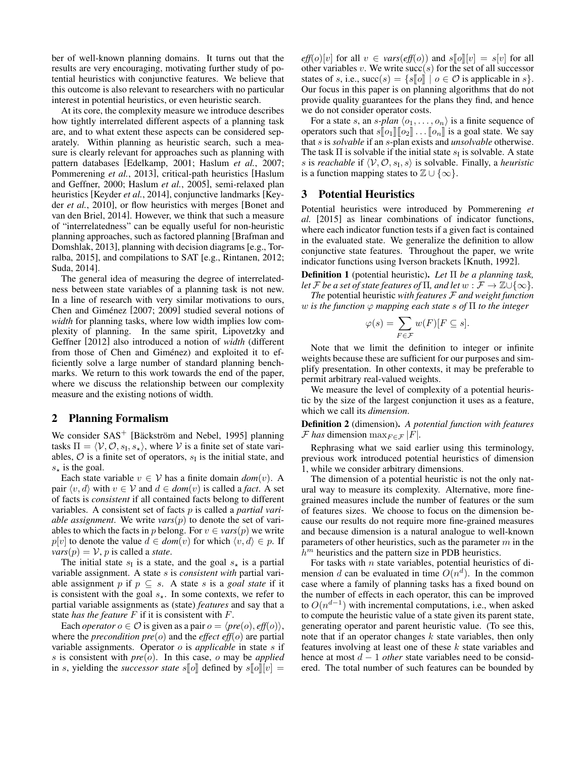ber of well-known planning domains. It turns out that the results are very encouraging, motivating further study of potential heuristics with conjunctive features. We believe that this outcome is also relevant to researchers with no particular interest in potential heuristics, or even heuristic search.

At its core, the complexity measure we introduce describes how tightly interrelated different aspects of a planning task are, and to what extent these aspects can be considered separately. Within planning as heuristic search, such a measure is clearly relevant for approaches such as planning with pattern databases [Edelkamp, 2001; Haslum *et al.*, 2007; Pommerening *et al.*, 2013], critical-path heuristics [Haslum and Geffner, 2000; Haslum *et al.*, 2005], semi-relaxed plan heuristics [Keyder *et al.*, 2014], conjunctive landmarks [Keyder *et al.*, 2010], or flow heuristics with merges [Bonet and van den Briel, 2014]. However, we think that such a measure of "interrelatedness" can be equally useful for non-heuristic planning approaches, such as factored planning [Brafman and Domshlak, 2013], planning with decision diagrams [e.g., Torralba, 2015], and compilations to SAT [e.g., Rintanen, 2012; Suda, 2014].

The general idea of measuring the degree of interrelatedness between state variables of a planning task is not new. In a line of research with very similar motivations to ours, Chen and Giménez [2007; 2009] studied several notions of *width* for planning tasks, where low width implies low complexity of planning. In the same spirit, Lipovetzky and Geffner [2012] also introduced a notion of *width* (different from those of Chen and Giménez) and exploited it to efficiently solve a large number of standard planning benchmarks. We return to this work towards the end of the paper, where we discuss the relationship between our complexity measure and the existing notions of width.

#### 2 Planning Formalism

We consider  $SAS^+$  [Bäckström and Nebel, 1995] planning tasks  $\Pi = \langle V, O, s_{\text{I}}, s_{\star} \rangle$ , where V is a finite set of state variables,  $\mathcal{O}$  is a finite set of operators,  $s<sub>I</sub>$  is the initial state, and  $s_{\star}$  is the goal.

Each state variable  $v \in V$  has a finite domain  $dom(v)$ . A pair  $\langle v, d \rangle$  with  $v \in V$  and  $d \in dom(v)$  is called a *fact*. A set of facts is *consistent* if all contained facts belong to different variables. A consistent set of facts p is called a *partial variable assignment*. We write  $vars(p)$  to denote the set of variables to which the facts in p belong. For  $v \in vars(p)$  we write  $p[v]$  to denote the value  $d \in dom(v)$  for which  $\langle v, d \rangle \in p$ . If  $vars(p) = V$ , *p* is called a *state*.

The initial state  $s<sub>I</sub>$  is a state, and the goal  $s<sub>\star</sub>$  is a partial variable assignment. A state s is *consistent with* partial variable assignment p if  $p \subseteq s$ . A state s is a *goal state* if it is consistent with the goal  $s_{\star}$ . In some contexts, we refer to partial variable assignments as (state) *features* and say that a state *has the feature* F if it is consistent with F.

Each *operator*  $o \in \mathcal{O}$  is given as a pair  $o = \langle pre(o), eff(o) \rangle$ , where the *precondition pre*(o) and the *effect eff*(o) are partial variable assignments. Operator o is *applicable* in state s if s is consistent with *pre*(o). In this case, o may be *applied* in s, yielding the *successor state*  $s[\![o]\!]$  defined by  $s[\![o]\!]$  $[v] =$ 

 $eff(o)[v]$  for all  $v \in vars(eff(o))$  and  $s[[o][v] = s[v]$  for all other variables v. We write  $succ(s)$  for the set of all successor states of s, i.e.,  $succ(s) = \{s\llbracket o \rrbracket \mid o \in \mathcal{O} \text{ is applicable in } s\}.$ Our focus in this paper is on planning algorithms that do not provide quality guarantees for the plans they find, and hence we do not consider operator costs.

For a state s, an s-plan  $\langle o_1, \ldots, o_n \rangle$  is a finite sequence of operators such that  $s[\![o_1]\!][\![o_2]\!]\ldots[\![o_n]\!]$  is a goal state. We say that s is *solvable* if an s-plan exists and *unsolvable* otherwise. The task  $\Pi$  is solvable if the initial state  $s_I$  is solvable. A state s is *reachable* if  $\langle V, O, s_I, s \rangle$  is solvable. Finally, a *heuristic* is a function mapping states to  $\mathbb{Z} \cup \{\infty\}.$ 

## 3 Potential Heuristics

Potential heuristics were introduced by Pommerening *et al.* [2015] as linear combinations of indicator functions, where each indicator function tests if a given fact is contained in the evaluated state. We generalize the definition to allow conjunctive state features. Throughout the paper, we write indicator functions using Iverson brackets [Knuth, 1992].

Definition 1 (potential heuristic). *Let* Π *be a planning task, let*  $\mathcal F$  *be a set of state features of*  $\Pi$ *, and let*  $w : \mathcal F \to \mathbb Z \cup \{\infty\}$ *.* 

*The* potential heuristic *with features* F *and weight function* w *is the function* ϕ *mapping each state* s *of* Π *to the integer*

$$
\varphi(s) = \sum_{F \in \mathcal{F}} w(F)[F \subseteq s].
$$

Note that we limit the definition to integer or infinite weights because these are sufficient for our purposes and simplify presentation. In other contexts, it may be preferable to permit arbitrary real-valued weights.

We measure the level of complexity of a potential heuristic by the size of the largest conjunction it uses as a feature, which we call its *dimension*.

Definition 2 (dimension). *A potential function with features F* has dimension  $\max_{F \in \mathcal{F}} |F|$ .

Rephrasing what we said earlier using this terminology, previous work introduced potential heuristics of dimension 1, while we consider arbitrary dimensions.

The dimension of a potential heuristic is not the only natural way to measure its complexity. Alternative, more finegrained measures include the number of features or the sum of features sizes. We choose to focus on the dimension because our results do not require more fine-grained measures and because dimension is a natural analogue to well-known parameters of other heuristics, such as the parameter  $m$  in the  $h^m$  heuristics and the pattern size in PDB heuristics.

For tasks with  $n$  state variables, potential heuristics of dimension d can be evaluated in time  $O(n^d)$ . In the common case where a family of planning tasks has a fixed bound on the number of effects in each operator, this can be improved to  $O(n^{d-1})$  with incremental computations, i.e., when asked to compute the heuristic value of a state given its parent state, generating operator and parent heuristic value. (To see this, note that if an operator changes  $k$  state variables, then only features involving at least one of these  $k$  state variables and hence at most d − 1 *other* state variables need to be considered. The total number of such features can be bounded by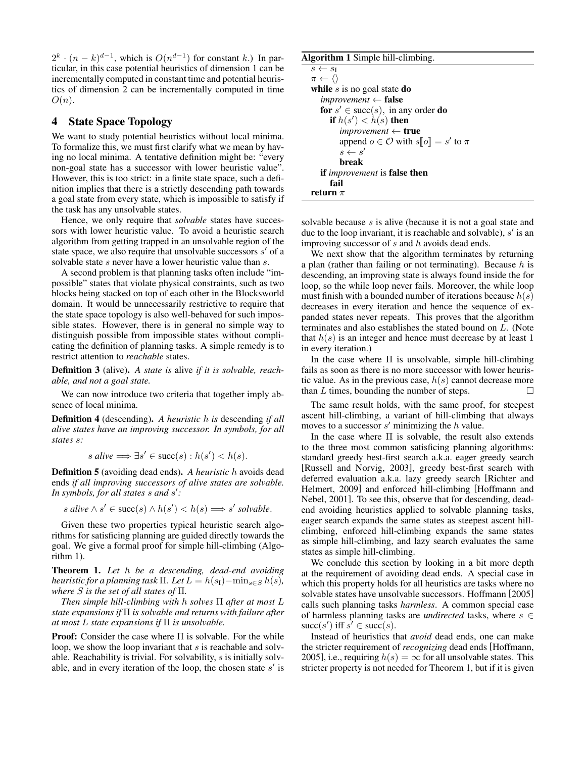$2^k \cdot (n-k)^{d-1}$ , which is  $O(n^{d-1})$  for constant k.) In particular, in this case potential heuristics of dimension 1 can be incrementally computed in constant time and potential heuristics of dimension 2 can be incrementally computed in time  $O(n).$ 

## 4 State Space Topology

We want to study potential heuristics without local minima. To formalize this, we must first clarify what we mean by having no local minima. A tentative definition might be: "every non-goal state has a successor with lower heuristic value". However, this is too strict: in a finite state space, such a definition implies that there is a strictly descending path towards a goal state from every state, which is impossible to satisfy if the task has any unsolvable states.

Hence, we only require that *solvable* states have successors with lower heuristic value. To avoid a heuristic search algorithm from getting trapped in an unsolvable region of the state space, we also require that unsolvable successors  $s'$  of a solvable state s never have a lower heuristic value than s.

A second problem is that planning tasks often include "impossible" states that violate physical constraints, such as two blocks being stacked on top of each other in the Blocksworld domain. It would be unnecessarily restrictive to require that the state space topology is also well-behaved for such impossible states. However, there is in general no simple way to distinguish possible from impossible states without complicating the definition of planning tasks. A simple remedy is to restrict attention to *reachable* states.

Definition 3 (alive). *A state is* alive *if it is solvable, reachable, and not a goal state.*

We can now introduce two criteria that together imply absence of local minima.

Definition 4 (descending). *A heuristic* h *is* descending *if all alive states have an improving successor. In symbols, for all states* s*:*

$$
s \text{ alive} \Longrightarrow \exists s' \in \text{succ}(s) : h(s') < h(s).
$$

Definition 5 (avoiding dead ends). *A heuristic* h avoids dead ends *if all improving successors of alive states are solvable. In symbols, for all states* s *and* s 0 *:*

s alive 
$$
\wedge
$$
 s'  $\in succ(s) \wedge h(s') < h(s) \Longrightarrow s'$  solvable.

Given these two properties typical heuristic search algorithms for satisficing planning are guided directly towards the goal. We give a formal proof for simple hill-climbing (Algorithm 1).

Theorem 1. *Let* h *be a descending, dead-end avoiding heuristic for a planning task*  $\Pi$ *. Let*  $L = h(s_1) - \min_{s \in S} h(s)$ *, where* S *is the set of all states of* Π*.*

*Then simple hill-climbing with* h *solves* Π *after at most* L *state expansions if* Π *is solvable and returns with failure after at most* L *state expansions if* Π *is unsolvable.*

**Proof:** Consider the case where  $\Pi$  is solvable. For the while loop, we show the loop invariant that  $s$  is reachable and solvable. Reachability is trivial. For solvability, s is initially solvable, and in every iteration of the loop, the chosen state  $s'$  is

#### Algorithm 1 Simple hill-climbing.

```
s \leftarrow s_I\pi \leftarrow \langle \ranglewhile s is no goal state do
   improvement ← false
   for s' \in \text{succ}(s), in any order do
      if h(s') < h(s) then
         improvement ← true
          append o \in \mathcal{O} with s[\![o]\!] = s' to \pis \leftarrow s'break
   if improvement is false then
      fail
return \pi
```
solvable because s is alive (because it is not a goal state and due to the loop invariant, it is reachable and solvable),  $s'$  is an improving successor of  $s$  and  $h$  avoids dead ends.

We next show that the algorithm terminates by returning a plan (rather than failing or not terminating). Because  $h$  is descending, an improving state is always found inside the for loop, so the while loop never fails. Moreover, the while loop must finish with a bounded number of iterations because  $h(s)$ decreases in every iteration and hence the sequence of expanded states never repeats. This proves that the algorithm terminates and also establishes the stated bound on L. (Note that  $h(s)$  is an integer and hence must decrease by at least 1 in every iteration.)

In the case where  $\Pi$  is unsolvable, simple hill-climbing fails as soon as there is no more successor with lower heuristic value. As in the previous case,  $h(s)$  cannot decrease more than L times, bounding the number of steps.  $\Box$ 

The same result holds, with the same proof, for steepest ascent hill-climbing, a variant of hill-climbing that always moves to a successor  $s'$  minimizing the  $h$  value.

In the case where Π is solvable, the result also extends to the three most common satisficing planning algorithms: standard greedy best-first search a.k.a. eager greedy search [Russell and Norvig, 2003], greedy best-first search with deferred evaluation a.k.a. lazy greedy search [Richter and Helmert, 2009] and enforced hill-climbing [Hoffmann and Nebel, 2001]. To see this, observe that for descending, deadend avoiding heuristics applied to solvable planning tasks, eager search expands the same states as steepest ascent hillclimbing, enforced hill-climbing expands the same states as simple hill-climbing, and lazy search evaluates the same states as simple hill-climbing.

We conclude this section by looking in a bit more depth at the requirement of avoiding dead ends. A special case in which this property holds for all heuristics are tasks where no solvable states have unsolvable successors. Hoffmann [2005] calls such planning tasks *harmless*. A common special case of harmless planning tasks are *undirected* tasks, where  $s \in$ succ(s') iff  $s' \in \text{succ}(s)$ .

Instead of heuristics that *avoid* dead ends, one can make the stricter requirement of *recognizing* dead ends [Hoffmann, 2005], i.e., requiring  $h(s) = \infty$  for all unsolvable states. This stricter property is not needed for Theorem 1, but if it is given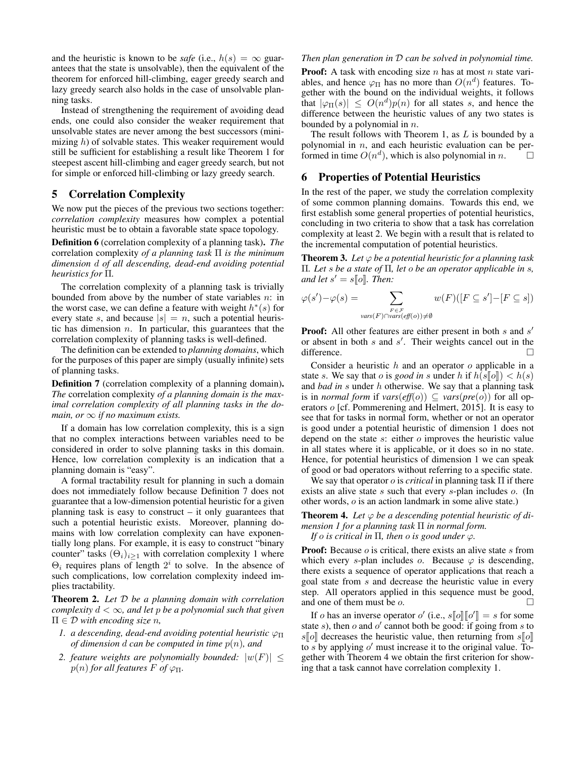and the heuristic is known to be *safe* (i.e.,  $h(s) = \infty$  guarantees that the state is unsolvable), then the equivalent of the theorem for enforced hill-climbing, eager greedy search and lazy greedy search also holds in the case of unsolvable planning tasks.

Instead of strengthening the requirement of avoiding dead ends, one could also consider the weaker requirement that unsolvable states are never among the best successors (minimizing  $h$ ) of solvable states. This weaker requirement would still be sufficient for establishing a result like Theorem 1 for steepest ascent hill-climbing and eager greedy search, but not for simple or enforced hill-climbing or lazy greedy search.

## 5 Correlation Complexity

We now put the pieces of the previous two sections together: *correlation complexity* measures how complex a potential heuristic must be to obtain a favorable state space topology.

Definition 6 (correlation complexity of a planning task). *The* correlation complexity *of a planning task* Π *is the minimum dimension* d *of all descending, dead-end avoiding potential heuristics for* Π*.*

The correlation complexity of a planning task is trivially bounded from above by the number of state variables  $n$ : in the worst case, we can define a feature with weight  $h^*(s)$  for every state s, and because  $|s| = n$ , such a potential heuristic has dimension  $n$ . In particular, this guarantees that the correlation complexity of planning tasks is well-defined.

The definition can be extended to *planning domains*, which for the purposes of this paper are simply (usually infinite) sets of planning tasks.

Definition 7 (correlation complexity of a planning domain). *The* correlation complexity *of a planning domain is the maximal correlation complexity of all planning tasks in the domain, or*  $\infty$  *if no maximum exists.* 

If a domain has low correlation complexity, this is a sign that no complex interactions between variables need to be considered in order to solve planning tasks in this domain. Hence, low correlation complexity is an indication that a planning domain is "easy".

A formal tractability result for planning in such a domain does not immediately follow because Definition 7 does not guarantee that a low-dimension potential heuristic for a given planning task is easy to construct – it only guarantees that such a potential heuristic exists. Moreover, planning domains with low correlation complexity can have exponentially long plans. For example, it is easy to construct "binary counter" tasks  $(\Theta_i)_{i\geq 1}$  with correlation complexity 1 where  $\Theta_i$  requires plans of length  $2^i$  to solve. In the absence of such complications, low correlation complexity indeed implies tractability.

Theorem 2. *Let* D *be a planning domain with correlation complexity* d < ∞*, and let* p *be a polynomial such that given*  $\Pi \in \mathcal{D}$  *with encoding size n*,

- *1. a descending, dead-end avoiding potential heuristic*  $\varphi$ <sub>Π</sub> *of dimension* d *can be computed in time* p(n)*, and*
- 2. feature weights are polynomially bounded:  $|w(F)| \leq$  $p(n)$  *for all features*  $F$  *of*  $\varphi$ <sub>Π</sub>.

#### *Then plan generation in* D *can be solved in polynomial time.*

**Proof:** A task with encoding size  $n$  has at most  $n$  state variables, and hence  $\varphi_{\Pi}$  has no more than  $O(n^d)$  features. Together with the bound on the individual weights, it follows that  $|\varphi_{\Pi}(s)| \leq O(n^d)p(n)$  for all states s, and hence the difference between the heuristic values of any two states is bounded by a polynomial in  $n$ .

The result follows with Theorem 1, as  $L$  is bounded by a polynomial in  $n$ , and each heuristic evaluation can be performed in time  $O(n^d)$ , which is also polynomial in n.  $\Box$ 

## 6 Properties of Potential Heuristics

In the rest of the paper, we study the correlation complexity of some common planning domains. Towards this end, we first establish some general properties of potential heuristics, concluding in two criteria to show that a task has correlation complexity at least 2. We begin with a result that is related to the incremental computation of potential heuristics.

**Theorem 3.** Let  $\varphi$  be a potential heuristic for a planning task Π*. Let* s *be a state of* Π*, let* o *be an operator applicable in* s*,* and let  $s' = s[\![o]\!]$ . Then:

$$
\varphi(s') - \varphi(s) = \sum_{\substack{F \in \mathcal{F} \\ \text{vars}(F) \cap \text{vars}(\text{eff}(o)) \neq \emptyset}} w(F)([F \subseteq s'] - [F \subseteq s])
$$

**Proof:** All other features are either present in both  $s$  and  $s'$ or absent in both  $s$  and  $s'$ . Their weights cancel out in the difference.

Consider a heuristic  $h$  and an operator  $o$  applicable in a state s. We say that o is *good in* s under h if  $h(s\llbracket o \rrbracket) < h(s)$ and *bad in* s under h otherwise. We say that a planning task is in *normal form* if  $vars(eff(o)) \subseteq vars(pre(o))$  for all operators o [cf. Pommerening and Helmert, 2015]. It is easy to see that for tasks in normal form, whether or not an operator is good under a potential heuristic of dimension 1 does not depend on the state s: either o improves the heuristic value in all states where it is applicable, or it does so in no state. Hence, for potential heuristics of dimension 1 we can speak of good or bad operators without referring to a specific state.

We say that operator o is *critical* in planning task Π if there exists an alive state s such that every s-plan includes o. (In other words, o is an action landmark in some alive state.)

**Theorem 4.** Let  $\varphi$  be a descending potential heuristic of di*mension 1 for a planning task* Π *in normal form. If* o *is critical in*  $\Pi$ *, then* o *is good under*  $\varphi$ *.* 

**Proof:** Because  $o$  is critical, there exists an alive state  $s$  from which every s-plan includes  $o$ . Because  $\varphi$  is descending, there exists a sequence of operator applications that reach a

goal state from s and decrease the heuristic value in every step. All operators applied in this sequence must be good, and one of them must be  $o$ .

If *o* has an inverse operator *o'* (i.e.,  $s[[o]] [o'] = s$  for some the *s*) then *o* and *o'* cannot both be good; if going from *s* to state s), then o and o' cannot both be good: if going from s to  $s\llbracket o\rrbracket$  decreases the heuristic value, then returning from  $s\llbracket o\rrbracket$ to s by applying  $o'$  must increase it to the original value. Together with Theorem 4 we obtain the first criterion for showing that a task cannot have correlation complexity 1.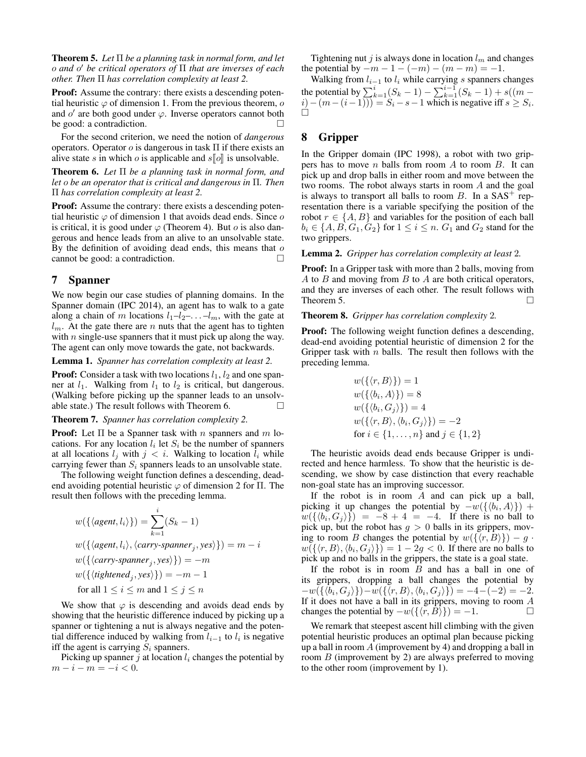Theorem 5. *Let* Π *be a planning task in normal form, and let* o *and* o <sup>0</sup> *be critical operators of* Π *that are inverses of each other. Then* Π *has correlation complexity at least 2.*

**Proof:** Assume the contrary: there exists a descending potential heuristic  $\varphi$  of dimension 1. From the previous theorem,  $\varphi$ and  $o'$  are both good under  $\varphi$ . Inverse operators cannot both be good: a contradiction.

For the second criterion, we need the notion of *dangerous* operators. Operator  $\sigma$  is dangerous in task  $\Pi$  if there exists an alive state s in which o is applicable and  $s||o||$  is unsolvable.

Theorem 6. *Let* Π *be a planning task in normal form, and let* o *be an operator that is critical and dangerous in* Π*. Then* Π *has correlation complexity at least 2.*

**Proof:** Assume the contrary: there exists a descending potential heuristic  $\varphi$  of dimension 1 that avoids dead ends. Since  $\varphi$ is critical, it is good under  $\varphi$  (Theorem 4). But *o* is also dangerous and hence leads from an alive to an unsolvable state. By the definition of avoiding dead ends, this means that  $o$ cannot be good: a contradiction.

## 7 Spanner

We now begin our case studies of planning domains. In the Spanner domain (IPC 2014), an agent has to walk to a gate along a chain of m locations  $l_1-l_2- \ldots -l_m$ , with the gate at  $l_m$ . At the gate there are n nuts that the agent has to tighten with  $n$  single-use spanners that it must pick up along the way. The agent can only move towards the gate, not backwards.

Lemma 1. *Spanner has correlation complexity at least 2.*

**Proof:** Consider a task with two locations  $l_1$ ,  $l_2$  and one spanner at  $l_1$ . Walking from  $l_1$  to  $l_2$  is critical, but dangerous. (Walking before picking up the spanner leads to an unsolvable state.) The result follows with Theorem 6.  $\Box$ 

#### Theorem 7. *Spanner has correlation complexity 2.*

**Proof:** Let  $\Pi$  be a Spanner task with n spanners and m locations. For any location  $l_i$  let  $S_i$  be the number of spanners at all locations  $l_j$  with  $j < i$ . Walking to location  $l_i$  while carrying fewer than  $S_i$  spanners leads to an unsolvable state.

The following weight function defines a descending, deadend avoiding potential heuristic  $\varphi$  of dimension 2 for  $\Pi$ . The result then follows with the preceding lemma.

$$
w(\{\langle agent, l_i \rangle\}) = \sum_{k=1}^{i} (S_k - 1)
$$
  
\n
$$
w(\{\langle agent, l_i \rangle, \langle carry\text{-}spanner_j, yes \rangle\}) = m - i
$$
  
\n
$$
w(\{\langle carry\text{-}spanner_j, yes \rangle\}) = -m
$$
  
\n
$$
w(\{\langle tightharpoonup_j, yes \rangle\}) = -m - 1
$$
  
\nfor all  $1 \leq i \leq m$  and  $1 \leq j \leq n$ 

We show that  $\varphi$  is descending and avoids dead ends by showing that the heuristic difference induced by picking up a spanner or tightening a nut is always negative and the potential difference induced by walking from  $l_{i-1}$  to  $l_i$  is negative iff the agent is carrying  $S_i$  spanners.

Picking up spanner  $j$  at location  $l_i$  changes the potential by  $m - i - m = -i < 0$ .

Tightening nut j is always done in location  $l_m$  and changes the potential by  $-m-1-(-m)-(m-m)=-1$ .

Walking from  $l_{i-1}$  to  $l_i$  while carrying s spanners changes the potential by  $\sum_{k=1}^{i} (S_k - 1) - \sum_{k=1}^{i-1} (S_k - 1) + s((m (i) - (m - (i - 1))$ ) =  $S_i - s - 1$  which is negative iff  $s \geq S_i$ .  $\Box$ 

# 8 Gripper

In the Gripper domain (IPC 1998), a robot with two grippers has to move  $n$  balls from room  $A$  to room  $B$ . It can pick up and drop balls in either room and move between the two rooms. The robot always starts in room A and the goal is always to transport all balls to room  $B$ . In a  $SAS^+$  representation there is a variable specifying the position of the robot  $r \in \{A, B\}$  and variables for the position of each ball  $b_i \in \{A, B, G_1, G_2\}$  for  $1 \leq i \leq n$ .  $G_1$  and  $G_2$  stand for the two grippers.

Lemma 2. *Gripper has correlation complexity at least* 2*.*

**Proof:** In a Gripper task with more than 2 balls, moving from A to  $B$  and moving from  $B$  to  $A$  are both critical operators, and they are inverses of each other. The result follows with Theorem 5.

### Theorem 8. *Gripper has correlation complexity* 2*.*

Proof: The following weight function defines a descending, dead-end avoiding potential heuristic of dimension 2 for the Gripper task with  $n$  balls. The result then follows with the preceding lemma.

$$
w(\{\langle r, B \rangle\}) = 1
$$
  
\n
$$
w(\{\langle b_i, A \rangle\}) = 8
$$
  
\n
$$
w(\{\langle b_i, G_j \rangle\}) = 4
$$
  
\n
$$
w(\{\langle r, B \rangle, \langle b_i, G_j \rangle\}) = -2
$$
  
\nfor  $i \in \{1, ..., n\}$  and  $j \in \{1, 2\}$ 

The heuristic avoids dead ends because Gripper is undirected and hence harmless. To show that the heuristic is descending, we show by case distinction that every reachable non-goal state has an improving successor.

If the robot is in room  $A$  and can pick up a ball, picking it up changes the potential by  $-w(\{\langle b_i, A \rangle\}) +$  $w(\{\langle b_i, G_j \rangle\}) = -8 + 4 = -4$ . If there is no ball to pick up, but the robot has  $g > 0$  balls in its grippers, moving to room B changes the potential by  $w({\langle r, B \rangle}) - g$ .  $w(\{\langle r, B \rangle, \langle b_i, G_j \rangle\}) = 1 - 2g < 0$ . If there are no balls to pick up and no balls in the grippers, the state is a goal state.

If the robot is in room  $B$  and has a ball in one of its grippers, dropping a ball changes the potential by  $-w(\{\langle b_i, G_j \rangle\})-w(\{\langle r, B \rangle, \langle b_i, G_j \rangle\}) = -4-(-2) = -2.$ If it does not have a ball in its grippers, moving to room  $A$ changes the potential by  $-w({\langle r, B \rangle}) = -1$ .

We remark that steepest ascent hill climbing with the given potential heuristic produces an optimal plan because picking up a ball in room  $A$  (improvement by 4) and dropping a ball in room  $B$  (improvement by 2) are always preferred to moving to the other room (improvement by 1).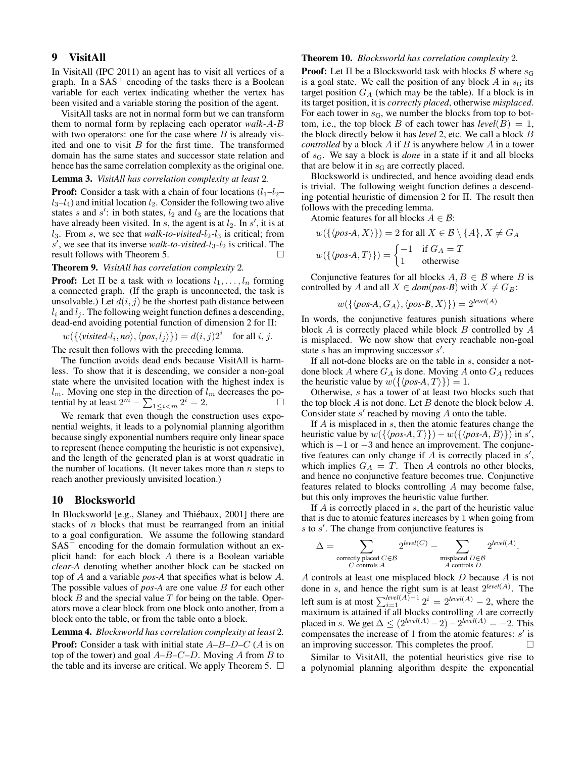## 9 VisitAll

In VisitAll (IPC 2011) an agent has to visit all vertices of a graph. In a  $SAS<sup>+</sup>$  encoding of the tasks there is a Boolean variable for each vertex indicating whether the vertex has been visited and a variable storing the position of the agent.

VisitAll tasks are not in normal form but we can transform them to normal form by replacing each operator *walk-*A*-*B with two operators: one for the case where  $B$  is already visited and one to visit  $B$  for the first time. The transformed domain has the same states and successor state relation and hence has the same correlation complexity as the original one.

### Lemma 3. *VisitAll has correlation complexity at least* 2*.*

**Proof:** Consider a task with a chain of four locations  $(l_1-l_2$  $l_3-l_4$ ) and initial location  $l_2$ . Consider the following two alive states s and s': in both states,  $l_2$  and  $l_3$  are the locations that have already been visited. In s, the agent is at  $l_2$ . In s', it is at  $l_3$ . From s, we see that *walk-to-visited-l<sub>2</sub>-l<sub>3</sub>* is critical; from  $s'$ , we see that its inverse *walk-to-visited-l*<sub>3</sub>-*l*<sub>2</sub> is critical. The result follows with Theorem 5.

### Theorem 9. *VisitAll has correlation complexity* 2*.*

**Proof:** Let  $\Pi$  be a task with n locations  $l_1, \ldots, l_n$  forming a connected graph. (If the graph is unconnected, the task is unsolvable.) Let  $d(i, j)$  be the shortest path distance between  $l_i$  and  $l_j$ . The following weight function defines a descending, dead-end avoiding potential function of dimension 2 for Π:

$$
w(\{\langle visited-l_i, no \rangle, \langle pos, l_j \rangle\}) = d(i, j)2^i
$$
 for all i, j.

The result then follows with the preceding lemma.

The function avoids dead ends because VisitAll is harmless. To show that it is descending, we consider a non-goal state where the unvisited location with the highest index is  $l_m$ . Moving one step in the direction of  $l_m$  decreases the potential by at least  $2^m - \sum_{1 \le i \le m} 2^i = 2$ .

We remark that even though the construction uses exponential weights, it leads to a polynomial planning algorithm because singly exponential numbers require only linear space to represent (hence computing the heuristic is not expensive), and the length of the generated plan is at worst quadratic in the number of locations. (It never takes more than  $n$  steps to reach another previously unvisited location.)

#### 10 Blocksworld

In Blocksworld [e.g., Slaney and Thiébaux, 2001] there are stacks of  $n$  blocks that must be rearranged from an initial to a goal configuration. We assume the following standard  $SAS<sup>+</sup>$  encoding for the domain formulation without an explicit hand: for each block A there is a Boolean variable *clear-A* denoting whether another block can be stacked on top of A and a variable *pos-A* that specifies what is below A. The possible values of *pos-A* are one value *B* for each other block  $B$  and the special value  $T$  for being on the table. Operators move a clear block from one block onto another, from a block onto the table, or from the table onto a block.

Lemma 4. *Blocksworld has correlation complexity at least* 2*.* **Proof:** Consider a task with initial state  $A-B-D-C$  (A is on top of the tower) and goal  $A-B-C-D$ . Moving A from B to the table and its inverse are critical. We apply Theorem 5.  $\Box$ 

#### Theorem 10. *Blocksworld has correlation complexity* 2*.*

**Proof:** Let  $\Pi$  be a Blocksworld task with blocks  $\beta$  where  $s_G$ is a goal state. We call the position of any block  $A$  in  $s<sub>G</sub>$  its target position  $G_A$  (which may be the table). If a block is in its target position, it is *correctly placed*, otherwise *misplaced*. For each tower in  $s_G$ , we number the blocks from top to bottom, i.e., the top block B of each tower has  $level(B) = 1$ , the block directly below it has *level* 2, etc. We call a block B *controlled* by a block A if B is anywhere below A in a tower of sG. We say a block is *done* in a state if it and all blocks that are below it in  $s_G$  are correctly placed.

Blocksworld is undirected, and hence avoiding dead ends is trivial. The following weight function defines a descending potential heuristic of dimension 2 for Π. The result then follows with the preceding lemma.

Atomic features for all blocks  $A \in \mathcal{B}$ :

 $w({\phi \circ A, X}) = 2$  for all  $X \in \mathcal{B} \setminus \{A\}, X \neq G_A$ 

$$
w(\{\langle pos\text{-}A, T \rangle\}) = \begin{cases} -1 & \text{if } G_A = T \\ 1 & \text{otherwise} \end{cases}
$$

Conjunctive features for all blocks  $A, B \in \mathcal{B}$  where B is controlled by A and all  $X \in dom(pos-B)$  with  $X \neq G_B$ :

$$
w(\{\langle pos\text{-}A, G_A \rangle, \langle pos\text{-}B, X \rangle\}) = 2^{\text{level}(A)}
$$

In words, the conjunctive features punish situations where block  $A$  is correctly placed while block  $B$  controlled by  $A$ is misplaced. We now show that every reachable non-goal state  $s$  has an improving successor  $s'$ .

If all not-done blocks are on the table in s, consider a notdone block A where  $G_A$  is done. Moving A onto  $G_A$  reduces the heuristic value by  $w({\{\langle pos-A, T \rangle\}}) = 1$ .

Otherwise, s has a tower of at least two blocks such that the top block  $A$  is not done. Let  $B$  denote the block below  $A$ . Consider state  $s'$  reached by moving  $A$  onto the table.

If A is misplaced in s, then the atomic features change the heuristic value by  $w(\{\langle pos-A, T \rangle\}) - w(\{\langle pos-A, B \rangle\})$  in s', which is  $-1$  or  $-3$  and hence an improvement. The conjunctive features can only change if  $\overline{A}$  is correctly placed in  $s'$ , which implies  $G_A = T$ . Then A controls no other blocks, and hence no conjunctive feature becomes true. Conjunctive features related to blocks controlling A may become false, but this only improves the heuristic value further.

If  $A$  is correctly placed in  $s$ , the part of the heuristic value that is due to atomic features increases by 1 when going from  $s$  to  $s'$ . The change from conjunctive features is

$$
\Delta = \sum_{\substack{\text{correctly placed } C \in \mathcal{B} \\ C \text{ controls } A}} 2^{level(C)} - \sum_{\substack{\text{misplaced } D \in \mathcal{B} \\ A \text{ controls } D}} 2^{level(A)}.
$$

A controls at least one misplaced block D because A is not done in s, and hence the right sum is at least 2 *level*(A) . The left sum is at most  $\sum_{i=1}^{\text{level}(A)-1} 2^i = 2^{\text{level}(A)} - 2$ , where the maximum is attained if all blocks controlling  $A$  are correctly placed in s. We get  $\Delta \leq (2^{level(A)} - 2) - 2^{level(A)} = -2$ . This compensates the increase of 1 from the atomic features:  $s'$  is an improving successor. This completes the proof.  $\Box$ 

Similar to VisitAll, the potential heuristics give rise to a polynomial planning algorithm despite the exponential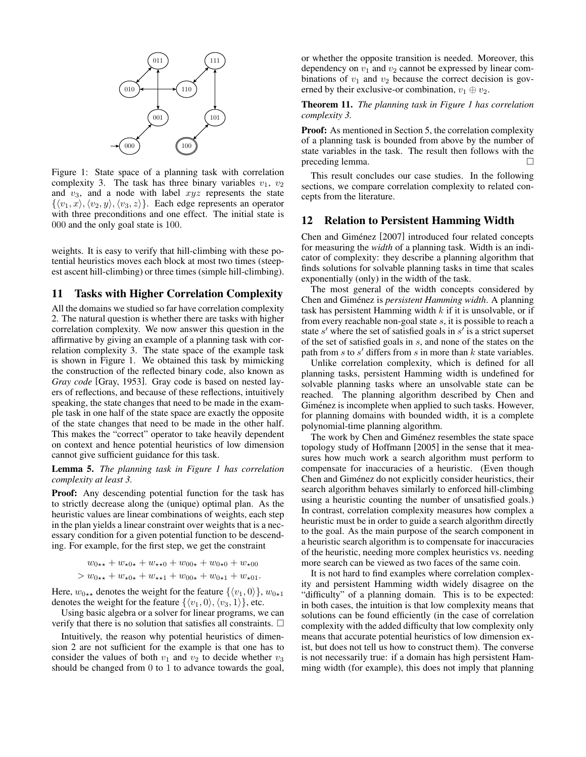

Figure 1: State space of a planning task with correlation complexity 3. The task has three binary variables  $v_1$ ,  $v_2$ and  $v_3$ , and a node with label  $xyz$  represents the state  $\{\langle v_1, x \rangle, \langle v_2, y \rangle, \langle v_3, z \rangle\}.$  Each edge represents an operator with three preconditions and one effect. The initial state is 000 and the only goal state is 100.

weights. It is easy to verify that hill-climbing with these potential heuristics moves each block at most two times (steepest ascent hill-climbing) or three times (simple hill-climbing).

## 11 Tasks with Higher Correlation Complexity

All the domains we studied so far have correlation complexity 2. The natural question is whether there are tasks with higher correlation complexity. We now answer this question in the affirmative by giving an example of a planning task with correlation complexity 3. The state space of the example task is shown in Figure 1. We obtained this task by mimicking the construction of the reflected binary code, also known as *Gray code* [Gray, 1953]. Gray code is based on nested layers of reflections, and because of these reflections, intuitively speaking, the state changes that need to be made in the example task in one half of the state space are exactly the opposite of the state changes that need to be made in the other half. This makes the "correct" operator to take heavily dependent on context and hence potential heuristics of low dimension cannot give sufficient guidance for this task.

Lemma 5. *The planning task in Figure 1 has correlation complexity at least 3.*

Proof: Any descending potential function for the task has to strictly decrease along the (unique) optimal plan. As the heuristic values are linear combinations of weights, each step in the plan yields a linear constraint over weights that is a necessary condition for a given potential function to be descending. For example, for the first step, we get the constraint

$$
w_{0 \star \star} + w_{\star 0 \star} + w_{\star \star 0} + w_{00 \star} + w_{0 \star 0} + w_{\star 00}
$$
  
>  $w_{0 \star \star} + w_{\star 0 \star} + w_{\star \star 1} + w_{00 \star} + w_{0 \star 1} + w_{\star 01}$ .

Here,  $w_{0\star\star}$  denotes the weight for the feature  $\{\langle v_1, 0 \rangle\}$ ,  $w_{0\star1}$ denotes the weight for the feature  $\{\langle v_1, 0 \rangle, \langle v_3, 1 \rangle\}$ , etc.

Using basic algebra or a solver for linear programs, we can verify that there is no solution that satisfies all constraints.  $\Box$ 

Intuitively, the reason why potential heuristics of dimension 2 are not sufficient for the example is that one has to consider the values of both  $v_1$  and  $v_2$  to decide whether  $v_3$ should be changed from 0 to 1 to advance towards the goal, or whether the opposite transition is needed. Moreover, this dependency on  $v_1$  and  $v_2$  cannot be expressed by linear combinations of  $v_1$  and  $v_2$  because the correct decision is governed by their exclusive-or combination,  $v_1 \oplus v_2$ .

Theorem 11. *The planning task in Figure 1 has correlation complexity 3.*

Proof: As mentioned in Section 5, the correlation complexity of a planning task is bounded from above by the number of state variables in the task. The result then follows with the preceding lemma.

This result concludes our case studies. In the following sections, we compare correlation complexity to related concepts from the literature.

## 12 Relation to Persistent Hamming Width

Chen and Giménez [2007] introduced four related concepts for measuring the *width* of a planning task. Width is an indicator of complexity: they describe a planning algorithm that finds solutions for solvable planning tasks in time that scales exponentially (only) in the width of the task.

The most general of the width concepts considered by Chen and Giménez is *persistent Hamming width*. A planning task has persistent Hamming width  $k$  if it is unsolvable, or if from every reachable non-goal state s, it is possible to reach a state  $s'$  where the set of satisfied goals in  $s'$  is a strict superset of the set of satisfied goals in s, and none of the states on the path from  $s$  to  $s'$  differs from  $s$  in more than  $k$  state variables.

Unlike correlation complexity, which is defined for all planning tasks, persistent Hamming width is undefined for solvable planning tasks where an unsolvable state can be reached. The planning algorithm described by Chen and Giménez is incomplete when applied to such tasks. However, for planning domains with bounded width, it is a complete polynomial-time planning algorithm.

The work by Chen and Giménez resembles the state space topology study of Hoffmann [2005] in the sense that it measures how much work a search algorithm must perform to compensate for inaccuracies of a heuristic. (Even though Chen and Giménez do not explicitly consider heuristics, their search algorithm behaves similarly to enforced hill-climbing using a heuristic counting the number of unsatisfied goals.) In contrast, correlation complexity measures how complex a heuristic must be in order to guide a search algorithm directly to the goal. As the main purpose of the search component in a heuristic search algorithm is to compensate for inaccuracies of the heuristic, needing more complex heuristics vs. needing more search can be viewed as two faces of the same coin.

It is not hard to find examples where correlation complexity and persistent Hamming width widely disagree on the "difficulty" of a planning domain. This is to be expected: in both cases, the intuition is that low complexity means that solutions can be found efficiently (in the case of correlation complexity with the added difficulty that low complexity only means that accurate potential heuristics of low dimension exist, but does not tell us how to construct them). The converse is not necessarily true: if a domain has high persistent Hamming width (for example), this does not imply that planning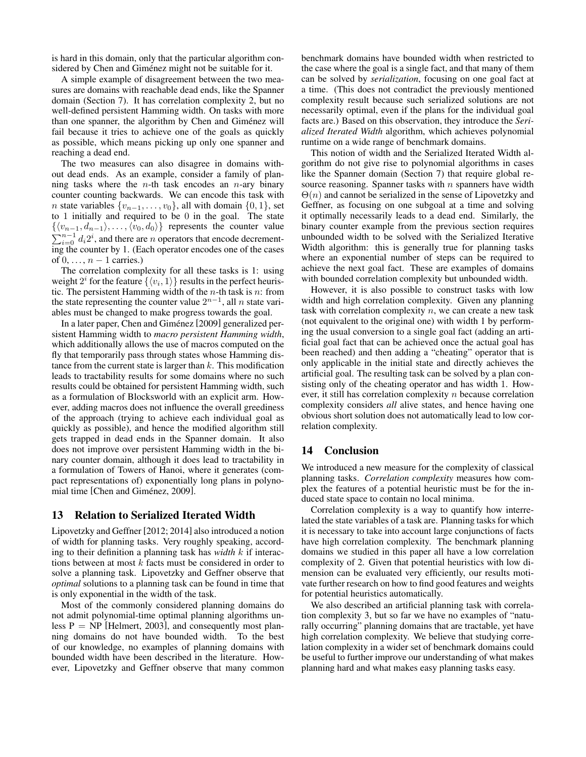is hard in this domain, only that the particular algorithm considered by Chen and Giménez might not be suitable for it.

A simple example of disagreement between the two measures are domains with reachable dead ends, like the Spanner domain (Section 7). It has correlation complexity 2, but no well-defined persistent Hamming width. On tasks with more than one spanner, the algorithm by Chen and Giménez will fail because it tries to achieve one of the goals as quickly as possible, which means picking up only one spanner and reaching a dead end.

The two measures can also disagree in domains without dead ends. As an example, consider a family of planning tasks where the *n*-th task encodes an *n*-ary binary counter counting backwards. We can encode this task with *n* state variables  $\{v_{n-1}, \ldots, v_0\}$ , all with domain  $\{0, 1\}$ , set to 1 initially and required to be 0 in the goal. The state  $\{\langle v_{n-1}, d_{n-1}\rangle, \ldots, \langle v_0, d_0\rangle\}$  represents the counter value  $\sum_{i=0}^{n-1} d_i 2^i$ , and there are *n* operators that encode decrementing the counter by 1. (Each operator encodes one of the cases of  $0, \ldots, n-1$  carries.)

The correlation complexity for all these tasks is 1: using weight  $2^i$  for the feature  $\{\langle v_i, 1 \rangle\}$  results in the perfect heuristic. The persistent Hamming width of the  $n$ -th task is  $n$ : from the state representing the counter value  $2^{n-1}$ , all n state variables must be changed to make progress towards the goal.

In a later paper, Chen and Giménez [2009] generalized persistent Hamming width to *macro persistent Hamming width*, which additionally allows the use of macros computed on the fly that temporarily pass through states whose Hamming distance from the current state is larger than  $k$ . This modification leads to tractability results for some domains where no such results could be obtained for persistent Hamming width, such as a formulation of Blocksworld with an explicit arm. However, adding macros does not influence the overall greediness of the approach (trying to achieve each individual goal as quickly as possible), and hence the modified algorithm still gets trapped in dead ends in the Spanner domain. It also does not improve over persistent Hamming width in the binary counter domain, although it does lead to tractability in a formulation of Towers of Hanoi, where it generates (compact representations of) exponentially long plans in polynomial time [Chen and Giménez, 2009].

## 13 Relation to Serialized Iterated Width

Lipovetzky and Geffner [2012; 2014] also introduced a notion of width for planning tasks. Very roughly speaking, according to their definition a planning task has *width* k if interactions between at most k facts must be considered in order to solve a planning task. Lipovetzky and Geffner observe that *optimal* solutions to a planning task can be found in time that is only exponential in the width of the task.

Most of the commonly considered planning domains do not admit polynomial-time optimal planning algorithms unless  $P = NP$  [Helmert, 2003], and consequently most planning domains do not have bounded width. To the best of our knowledge, no examples of planning domains with bounded width have been described in the literature. However, Lipovetzky and Geffner observe that many common benchmark domains have bounded width when restricted to the case where the goal is a single fact, and that many of them can be solved by *serialization*, focusing on one goal fact at a time. (This does not contradict the previously mentioned complexity result because such serialized solutions are not necessarily optimal, even if the plans for the individual goal facts are.) Based on this observation, they introduce the *Serialized Iterated Width* algorithm, which achieves polynomial runtime on a wide range of benchmark domains.

This notion of width and the Serialized Iterated Width algorithm do not give rise to polynomial algorithms in cases like the Spanner domain (Section 7) that require global resource reasoning. Spanner tasks with  $n$  spanners have width  $\Theta(n)$  and cannot be serialized in the sense of Lipovetzky and Geffner, as focusing on one subgoal at a time and solving it optimally necessarily leads to a dead end. Similarly, the binary counter example from the previous section requires unbounded width to be solved with the Serialized Iterative Width algorithm: this is generally true for planning tasks where an exponential number of steps can be required to achieve the next goal fact. These are examples of domains with bounded correlation complexity but unbounded width.

However, it is also possible to construct tasks with low width and high correlation complexity. Given any planning task with correlation complexity  $n$ , we can create a new task (not equivalent to the original one) with width 1 by performing the usual conversion to a single goal fact (adding an artificial goal fact that can be achieved once the actual goal has been reached) and then adding a "cheating" operator that is only applicable in the initial state and directly achieves the artificial goal. The resulting task can be solved by a plan consisting only of the cheating operator and has width 1. However, it still has correlation complexity  $n$  because correlation complexity considers *all* alive states, and hence having one obvious short solution does not automatically lead to low correlation complexity.

## 14 Conclusion

We introduced a new measure for the complexity of classical planning tasks. *Correlation complexity* measures how complex the features of a potential heuristic must be for the induced state space to contain no local minima.

Correlation complexity is a way to quantify how interrelated the state variables of a task are. Planning tasks for which it is necessary to take into account large conjunctions of facts have high correlation complexity. The benchmark planning domains we studied in this paper all have a low correlation complexity of 2. Given that potential heuristics with low dimension can be evaluated very efficiently, our results motivate further research on how to find good features and weights for potential heuristics automatically.

We also described an artificial planning task with correlation complexity 3, but so far we have no examples of "naturally occurring" planning domains that are tractable, yet have high correlation complexity. We believe that studying correlation complexity in a wider set of benchmark domains could be useful to further improve our understanding of what makes planning hard and what makes easy planning tasks easy.